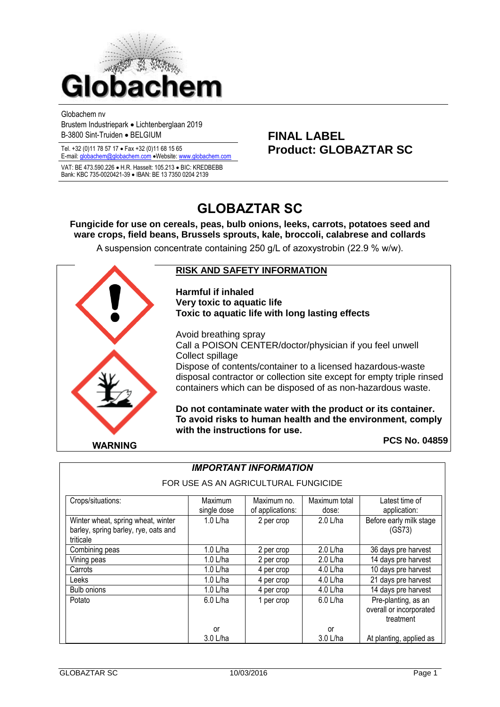

Globachem nv Brustem Industriepark Lichtenberglaan 2019 B-3800 Sint-Truiden BELGIUM **FINAL LABEL**

VAT: BE 473.590.226 · H.R. Hasselt: 105.213 · BIC: KREDBEBB Bank: KBC 735-0020421-39 · IBAN: BE 13 7350 0204 2139

# Tel. +32 (0)11 78 57 17 Fax +32 (0)11 68 15 65 **Product: GLOBAZTAR SC** E-mail[: globachem@globachem.com](mailto:globachem@globachem.com) Website[: www.globachem.com](mailto:globachem@globachem.com)

# **GLOBAZTAR SC**

**Fungicide for use on cereals, peas, bulb onions, leeks, carrots, potatoes seed and ware crops, field beans, Brussels sprouts, kale, broccoli, calabrese and collards** A suspension concentrate containing 250 g/L of azoxystrobin (22.9 % w/w).



#### **RISK AND SAFETY INFORMATION**

**Harmful if inhaled Very toxic to aquatic life Toxic to aquatic life with long lasting effects**

Avoid breathing spray Call a POISON CENTER/doctor/physician if you feel unwell Collect spillage Dispose of contents/container to a licensed hazardous-waste disposal contractor or collection site except for empty triple rinsed containers which can be disposed of as non-hazardous waste.

**Do not contaminate water with the product or its container. To avoid risks to human health and the environment, comply with the instructions for use.**

#### **PCS No. 04859**

| FOR USE AS AN AGRICULTURAL FUNGICIDE                                                    |                        |                                 |                        |                                                                     |  |  |  |  |  |  |
|-----------------------------------------------------------------------------------------|------------------------|---------------------------------|------------------------|---------------------------------------------------------------------|--|--|--|--|--|--|
| Crops/situations:                                                                       | Maximum<br>single dose | Maximum no.<br>of applications: | Maximum total<br>dose: | Latest time of<br>application:<br>Before early milk stage<br>(GS73) |  |  |  |  |  |  |
| Winter wheat, spring wheat, winter<br>barley, spring barley, rye, oats and<br>triticale | 1.0 L/ha               | 2 per crop                      | 2.0 L/ha               |                                                                     |  |  |  |  |  |  |
| Combining peas                                                                          | 1.0 L/ha               | 2 per crop                      | $2.0$ L/ha             | 36 days pre harvest                                                 |  |  |  |  |  |  |
| Vining peas                                                                             | $1.0$ L/ha             | 2 per crop                      | 2.0 L/ha               | 14 days pre harvest                                                 |  |  |  |  |  |  |
| Carrots                                                                                 | $1.0$ L/ha             | 4 per crop                      | 4.0 L/ha               | 10 days pre harvest                                                 |  |  |  |  |  |  |
| Leeks                                                                                   | $1.0$ L/ha             | 4 per crop                      | 4.0 L/ha               | 21 days pre harvest                                                 |  |  |  |  |  |  |
| <b>Bulb onions</b>                                                                      | $1.0$ L/ha             | 4 per crop                      | 4.0 L/ha               | 14 days pre harvest                                                 |  |  |  |  |  |  |
| Potato                                                                                  | 6.0 L/ha               | 1 per crop                      | 6.0 L/ha               | Pre-planting, as an<br>overall or incorporated<br>treatment         |  |  |  |  |  |  |
|                                                                                         | or                     |                                 | or                     |                                                                     |  |  |  |  |  |  |
|                                                                                         | 3.0 L/ha               |                                 | 3.0 L/ha               | At planting, applied as                                             |  |  |  |  |  |  |

# *IMPORTANT INFORMATION*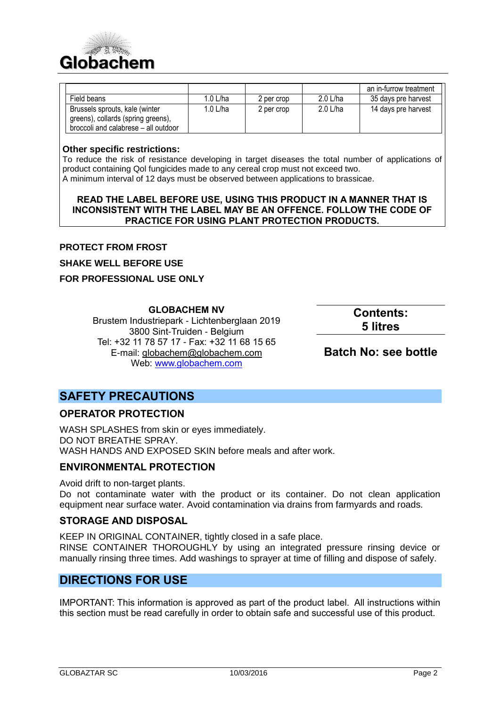

|                                                                      |            |            |            | an in-furrow treatment |
|----------------------------------------------------------------------|------------|------------|------------|------------------------|
| Field beans                                                          | $1.0$ L/ha | 2 per crop | $2.0$ L/ha | 35 days pre harvest    |
| Brussels sprouts, kale (winter<br>greens), collards (spring greens), | $1.0$ L/ha | 2 per crop | $2.0$ L/ha | 14 days pre harvest    |
| broccoli and calabrese - all outdoor                                 |            |            |            |                        |

#### **Other specific restrictions:**

To reduce the risk of resistance developing in target diseases the total number of applications of product containing Qol fungicides made to any cereal crop must not exceed two. A minimum interval of 12 days must be observed between applications to brassicae.

#### **READ THE LABEL BEFORE USE, USING THIS PRODUCT IN A MANNER THAT IS INCONSISTENT WITH THE LABEL MAY BE AN OFFENCE. FOLLOW THE CODE OF PRACTICE FOR USING PLANT PROTECTION PRODUCTS.**

#### **PROTECT FROM FROST**

**SHAKE WELL BEFORE USE**

#### **FOR PROFESSIONAL USE ONLY**

**GLOBACHEM NV**

Brustem Industriepark - Lichtenberglaan 2019 3800 Sint-Truiden - Belgium Tel: +32 11 78 57 17 - Fax: +32 11 68 15 65 E-mail: [globachem@globachem.com](mailto:globachem@globachem.com) Web: [www.globachem.com](http://www.globachem.com/)

**Contents: 5 litres**

# **Batch No: see bottle**

# **SAFETY PRECAUTIONS**

# **OPERATOR PROTECTION**

WASH SPLASHES from skin or eyes immediately. DO NOT BREATHE SPRAY. WASH HANDS AND EXPOSED SKIN before meals and after work.

# **ENVIRONMENTAL PROTECTION**

Avoid drift to non-target plants.

Do not contaminate water with the product or its container. Do not clean application equipment near surface water. Avoid contamination via drains from farmyards and roads.

#### **STORAGE AND DISPOSAL**

KEEP IN ORIGINAL CONTAINER, tightly closed in a safe place.

RINSE CONTAINER THOROUGHLY by using an integrated pressure rinsing device or manually rinsing three times. Add washings to sprayer at time of filling and dispose of safely.

# **DIRECTIONS FOR USE**

IMPORTANT: This information is approved as part of the product label. All instructions within this section must be read carefully in order to obtain safe and successful use of this product.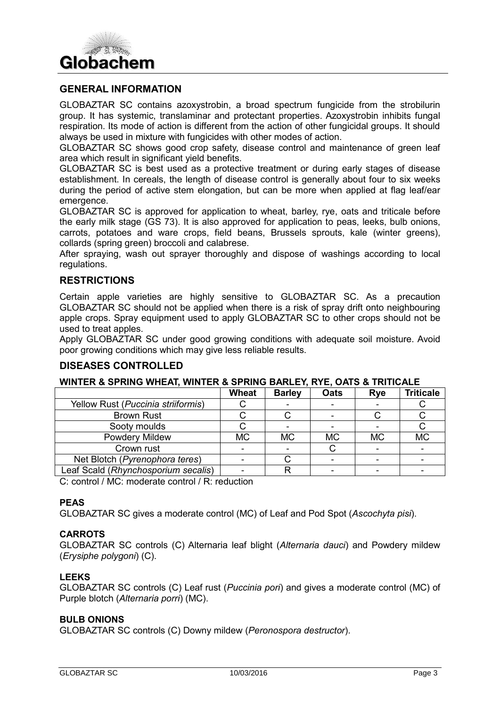

#### **GENERAL INFORMATION**

GLOBAZTAR SC contains azoxystrobin, a broad spectrum fungicide from the strobilurin group. It has systemic, translaminar and protectant properties. Azoxystrobin inhibits fungal respiration. Its mode of action is different from the action of other fungicidal groups. It should always be used in mixture with fungicides with other modes of action.

GLOBAZTAR SC shows good crop safety, disease control and maintenance of green leaf area which result in significant yield benefits.

GLOBAZTAR SC is best used as a protective treatment or during early stages of disease establishment. In cereals, the length of disease control is generally about four to six weeks during the period of active stem elongation, but can be more when applied at flag leaf/ear emergence.

GLOBAZTAR SC is approved for application to wheat, barley, rye, oats and triticale before the early milk stage (GS 73). It is also approved for application to peas, leeks, bulb onions, carrots, potatoes and ware crops, field beans, Brussels sprouts, kale (winter greens), collards (spring green) broccoli and calabrese.

After spraying, wash out sprayer thoroughly and dispose of washings according to local regulations.

#### **RESTRICTIONS**

Certain apple varieties are highly sensitive to GLOBAZTAR SC. As a precaution GLOBAZTAR SC should not be applied when there is a risk of spray drift onto neighbouring apple crops. Spray equipment used to apply GLOBAZTAR SC to other crops should not be used to treat apples.

Apply GLOBAZTAR SC under good growing conditions with adequate soil moisture. Avoid poor growing conditions which may give less reliable results.

#### **DISEASES CONTROLLED**

#### **WINTER & SPRING WHEAT, WINTER & SPRING BARLEY, RYE, OATS & TRITICALE**

|                                     | Wheat     | <b>Barley</b> | <b>Oats</b> | <b>Rye</b> | <b>Triticale</b> |
|-------------------------------------|-----------|---------------|-------------|------------|------------------|
| Yellow Rust (Puccinia striiformis)  |           |               |             |            |                  |
| <b>Brown Rust</b>                   |           |               |             |            |                  |
| Sooty moulds                        |           |               |             |            |                  |
| Powdery Mildew                      | <b>MC</b> | <b>MC</b>     | <b>MC</b>   | <b>MC</b>  | <b>MC</b>        |
| Crown rust                          |           |               |             |            |                  |
| Net Blotch (Pyrenophora teres)      |           |               |             |            |                  |
| Leaf Scald (Rhynchosporium secalis) |           |               |             |            |                  |

C: control / MC: moderate control / R: reduction

#### **PEAS**

GLOBAZTAR SC gives a moderate control (MC) of Leaf and Pod Spot (*Ascochyta pisi*).

#### **CARROTS**

GLOBAZTAR SC controls (C) Alternaria leaf blight (*Alternaria dauci*) and Powdery mildew (*Erysiphe polygoni*) (C).

#### **LEEKS**

GLOBAZTAR SC controls (C) Leaf rust (*Puccinia pori*) and gives a moderate control (MC) of Purple blotch (*Alternaria porri*) (MC).

#### **BULB ONIONS**

GLOBAZTAR SC controls (C) Downy mildew (*Peronospora destructor*).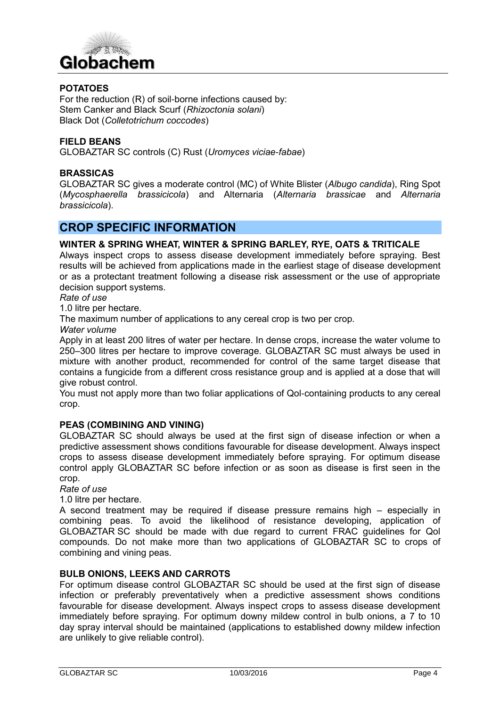

#### **POTATOES**

For the reduction (R) of soil-borne infections caused by: Stem Canker and Black Scurf (*Rhizoctonia solani*) Black Dot (*Colletotrichum coccodes*)

#### **FIELD BEANS**

GLOBAZTAR SC controls (C) Rust (*Uromyces viciae-fabae*)

#### **BRASSICAS**

GLOBAZTAR SC gives a moderate control (MC) of White Blister (*Albugo candida*), Ring Spot (*Mycosphaerella brassicicola*) and Alternaria (*Alternaria brassicae* and *Alternaria brassicicola*).

# **CROP SPECIFIC INFORMATION**

#### **WINTER & SPRING WHEAT, WINTER & SPRING BARLEY, RYE, OATS & TRITICALE**

Always inspect crops to assess disease development immediately before spraying. Best results will be achieved from applications made in the earliest stage of disease development or as a protectant treatment following a disease risk assessment or the use of appropriate decision support systems.

#### *Rate of use*

1.0 litre per hectare.

The maximum number of applications to any cereal crop is two per crop.

*Water volume*

Apply in at least 200 litres of water per hectare. In dense crops, increase the water volume to 250–300 litres per hectare to improve coverage. GLOBAZTAR SC must always be used in mixture with another product, recommended for control of the same target disease that contains a fungicide from a different cross resistance group and is applied at a dose that will give robust control.

You must not apply more than two foliar applications of Qol-containing products to any cereal crop.

#### **PEAS (COMBINING AND VINING)**

GLOBAZTAR SC should always be used at the first sign of disease infection or when a predictive assessment shows conditions favourable for disease development. Always inspect crops to assess disease development immediately before spraying. For optimum disease control apply GLOBAZTAR SC before infection or as soon as disease is first seen in the crop.

#### *Rate of use*

1.0 litre per hectare.

A second treatment may be required if disease pressure remains high – especially in combining peas. To avoid the likelihood of resistance developing, application of GLOBAZTAR SC should be made with due regard to current FRAC guidelines for Qol compounds. Do not make more than two applications of GLOBAZTAR SC to crops of combining and vining peas.

#### **BULB ONIONS, LEEKS AND CARROTS**

For optimum disease control GLOBAZTAR SC should be used at the first sign of disease infection or preferably preventatively when a predictive assessment shows conditions favourable for disease development. Always inspect crops to assess disease development immediately before spraying. For optimum downy mildew control in bulb onions, a 7 to 10 day spray interval should be maintained (applications to established downy mildew infection are unlikely to give reliable control).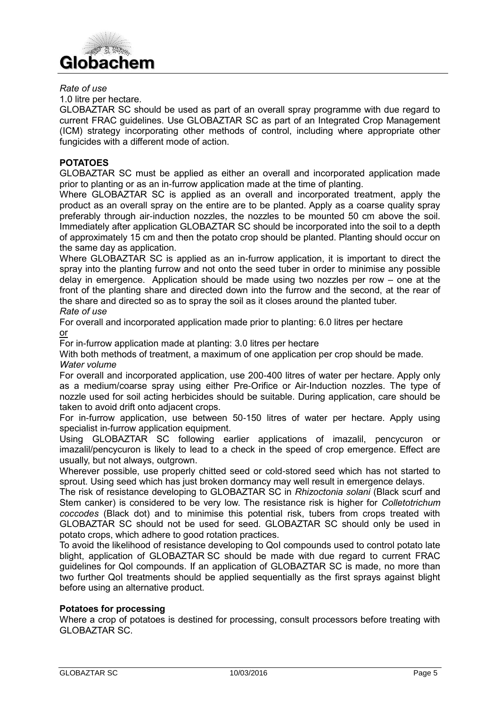

#### *Rate of use*

1.0 litre per hectare.

GLOBAZTAR SC should be used as part of an overall spray programme with due regard to current FRAC guidelines. Use GLOBAZTAR SC as part of an Integrated Crop Management (ICM) strategy incorporating other methods of control, including where appropriate other fungicides with a different mode of action.

#### **POTATOES**

GLOBAZTAR SC must be applied as either an overall and incorporated application made prior to planting or as an in-furrow application made at the time of planting.

Where GLOBAZTAR SC is applied as an overall and incorporated treatment, apply the product as an overall spray on the entire are to be planted. Apply as a coarse quality spray preferably through air-induction nozzles, the nozzles to be mounted 50 cm above the soil. Immediately after application GLOBAZTAR SC should be incorporated into the soil to a depth of approximately 15 cm and then the potato crop should be planted. Planting should occur on the same day as application.

Where GLOBAZTAR SC is applied as an in-furrow application, it is important to direct the spray into the planting furrow and not onto the seed tuber in order to minimise any possible delay in emergence. Application should be made using two nozzles per row – one at the front of the planting share and directed down into the furrow and the second, at the rear of the share and directed so as to spray the soil as it closes around the planted tuber.

### *Rate of use*

For overall and incorporated application made prior to planting: 6.0 litres per hectare or

For in-furrow application made at planting: 3.0 litres per hectare

With both methods of treatment, a maximum of one application per crop should be made. *Water volume*

For overall and incorporated application, use 200-400 litres of water per hectare. Apply only as a medium/coarse spray using either Pre-Orifice or Air-Induction nozzles. The type of nozzle used for soil acting herbicides should be suitable. During application, care should be taken to avoid drift onto adjacent crops.

For in-furrow application, use between 50-150 litres of water per hectare. Apply using specialist in-furrow application equipment.

Using GLOBAZTAR SC following earlier applications of imazalil, pencycuron or imazalil/pencycuron is likely to lead to a check in the speed of crop emergence. Effect are usually, but not always, outgrown.

Wherever possible, use properly chitted seed or cold-stored seed which has not started to sprout. Using seed which has just broken dormancy may well result in emergence delays.

The risk of resistance developing to GLOBAZTAR SC in *Rhizoctonia solani* (Black scurf and Stem canker) is considered to be very low. The resistance risk is higher for *Colletotrichum coccodes* (Black dot) and to minimise this potential risk, tubers from crops treated with GLOBAZTAR SC should not be used for seed. GLOBAZTAR SC should only be used in potato crops, which adhere to good rotation practices.

To avoid the likelihood of resistance developing to QoI compounds used to control potato late blight, application of GLOBAZTAR SC should be made with due regard to current FRAC guidelines for Qol compounds. If an application of GLOBAZTAR SC is made, no more than two further QoI treatments should be applied sequentially as the first sprays against blight before using an alternative product.

#### **Potatoes for processing**

Where a crop of potatoes is destined for processing, consult processors before treating with GLOBAZTAR SC.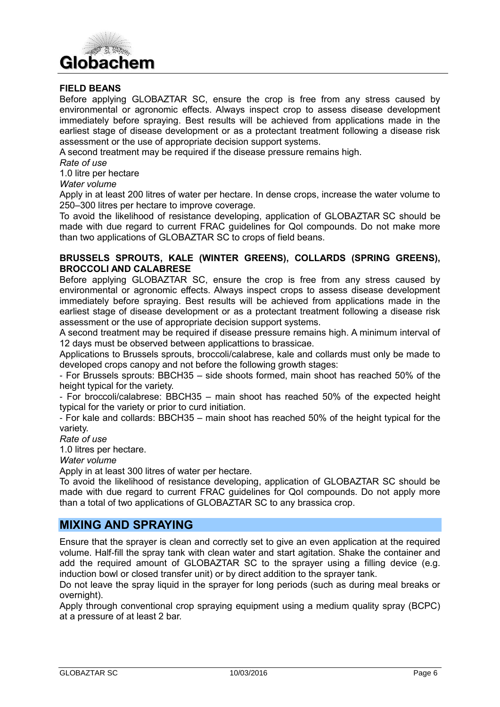

#### **FIELD BEANS**

Before applying GLOBAZTAR SC, ensure the crop is free from any stress caused by environmental or agronomic effects. Always inspect crop to assess disease development immediately before spraying. Best results will be achieved from applications made in the earliest stage of disease development or as a protectant treatment following a disease risk assessment or the use of appropriate decision support systems.

A second treatment may be required if the disease pressure remains high.

*Rate of use*

1.0 litre per hectare

*Water volume*

Apply in at least 200 litres of water per hectare. In dense crops, increase the water volume to 250–300 litres per hectare to improve coverage.

To avoid the likelihood of resistance developing, application of GLOBAZTAR SC should be made with due regard to current FRAC guidelines for Qol compounds. Do not make more than two applications of GLOBAZTAR SC to crops of field beans.

#### **BRUSSELS SPROUTS, KALE (WINTER GREENS), COLLARDS (SPRING GREENS), BROCCOLI AND CALABRESE**

Before applying GLOBAZTAR SC, ensure the crop is free from any stress caused by environmental or agronomic effects. Always inspect crops to assess disease development immediately before spraying. Best results will be achieved from applications made in the earliest stage of disease development or as a protectant treatment following a disease risk assessment or the use of appropriate decision support systems.

A second treatment may be required if disease pressure remains high. A minimum interval of 12 days must be observed between applicattions to brassicae.

Applications to Brussels sprouts, broccoli/calabrese, kale and collards must only be made to developed crops canopy and not before the following growth stages:

- For Brussels sprouts: BBCH35 – side shoots formed, main shoot has reached 50% of the height typical for the variety.

- For broccoli/calabrese: BBCH35 – main shoot has reached 50% of the expected height typical for the variety or prior to curd initiation.

- For kale and collards: BBCH35 – main shoot has reached 50% of the height typical for the variety.

*Rate of use*

1.0 litres per hectare.

*Water volume*

Apply in at least 300 litres of water per hectare.

To avoid the likelihood of resistance developing, application of GLOBAZTAR SC should be made with due regard to current FRAC guidelines for QoI compounds. Do not apply more than a total of two applications of GLOBAZTAR SC to any brassica crop.

# **MIXING AND SPRAYING**

Ensure that the sprayer is clean and correctly set to give an even application at the required volume. Half-fill the spray tank with clean water and start agitation. Shake the container and add the required amount of GLOBAZTAR SC to the sprayer using a filling device (e.g. induction bowl or closed transfer unit) or by direct addition to the sprayer tank.

Do not leave the spray liquid in the sprayer for long periods (such as during meal breaks or overnight).

Apply through conventional crop spraying equipment using a medium quality spray (BCPC) at a pressure of at least 2 bar.